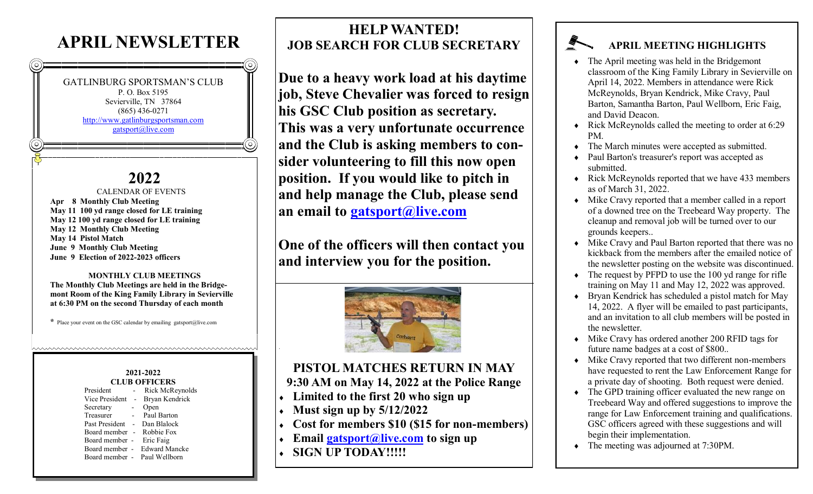## **APRIL NEWSLETTER**



**2022** CALENDAR OF EVENTS **Apr 8 Monthly Club Meeting May 11 100 yd range closed for LE training May 12 100 yd range closed for LE training May 12 Monthly Club Meeting May 14 Pistol Match June 9 Monthly Club Meeting June 9 Election of 2022-2023 officers**

#### **MONTHLY CLUB MEETINGS The Monthly Club Meetings are held in the Bridgemont Room of the King Family Library in Sevierville at 6:30 PM on the second Thursday of each month**

**\*** Place your event on the GSC calendar by emailing gatsport@live.com

#### **2021-2022 CLUB OFFICERS**

| President      |                          | Rick McReynolds      |  |  |
|----------------|--------------------------|----------------------|--|--|
| Vice President | $\overline{\phantom{a}}$ | Bryan Kendrick       |  |  |
| Secretary      |                          | Open                 |  |  |
| Treasurer      |                          | Paul Barton          |  |  |
| Past President |                          | Dan Blalock          |  |  |
| Board member - |                          | Robbie Fox           |  |  |
| Board member - |                          | Eric Faig            |  |  |
| Board member - |                          | <b>Edward Mancke</b> |  |  |
| Board member - |                          | Paul Wellborn        |  |  |
|                |                          |                      |  |  |

### **HELP WANTED! JOB SEARCH FOR CLUB SECRETARY**

**Due to a heavy work load at his daytime job, Steve Chevalier was forced to resign his GSC Club position as secretary. This was a very unfortunate occurrence and the Club is asking members to consider volunteering to fill this now open position. If you would like to pitch in and help manage the Club, please send an email to [gatsport@live.com](mailto:gatsport@live.com?subject=Secretary%20Position)**

**One of the officers will then contact you and interview you for the position.**



# **PISTOL MATCHES RETURN IN MAY**

#### **9:30 AM on May 14, 2022 at the Police Range**

- **Limited to the first 20 who sign up**
- **Must sign up by 5/12/2022**
- **Cost for members \$10 (\$15 for non-members)**
- **Email [gatsport@live.com](mailto:gatsport@live.com?subject=Pistol%20Match%20Sign%20Up) to sign up**
- **SIGN UP TODAY!!!!!**

### **APRIL MEETING HIGHLIGHTS**

- The April meeting was held in the Bridgemont classroom of the King Family Library in Sevierville on April 14, 2022. Members in attendance were Rick McReynolds, Bryan Kendrick, Mike Cravy, Paul Barton, Samantha Barton, Paul Wellborn, Eric Faig, and David Deacon.
- $\triangleleft$  Rick McReynolds called the meeting to order at 6:29 PM.
- The March minutes were accepted as submitted.
- Paul Barton's treasurer's report was accepted as submitted.
- Rick McReynolds reported that we have 433 members as of March 31, 2022.
- Mike Cravy reported that a member called in a report of a downed tree on the Treebeard Way property. The cleanup and removal job will be turned over to our grounds keepers..
- Mike Cravy and Paul Barton reported that there was no kickback from the members after the emailed notice of the newsletter posting on the website was discontinued.
- The request by PFPD to use the 100 yd range for rifle training on May 11 and May 12, 2022 was approved.
- Bryan Kendrick has scheduled a pistol match for May 14, 2022. A flyer will be emailed to past participants, and an invitation to all club members will be posted in the newsletter.
- Mike Cravy has ordered another 200 RFID tags for future name badges at a cost of \$800..
- Mike Cravy reported that two different non-members have requested to rent the Law Enforcement Range for a private day of shooting. Both request were denied.
- The GPD training officer evaluated the new range on Treebeard Way and offered suggestions to improve the range for Law Enforcement training and qualifications. GSC officers agreed with these suggestions and will begin their implementation.
- The meeting was adjourned at 7:30PM.